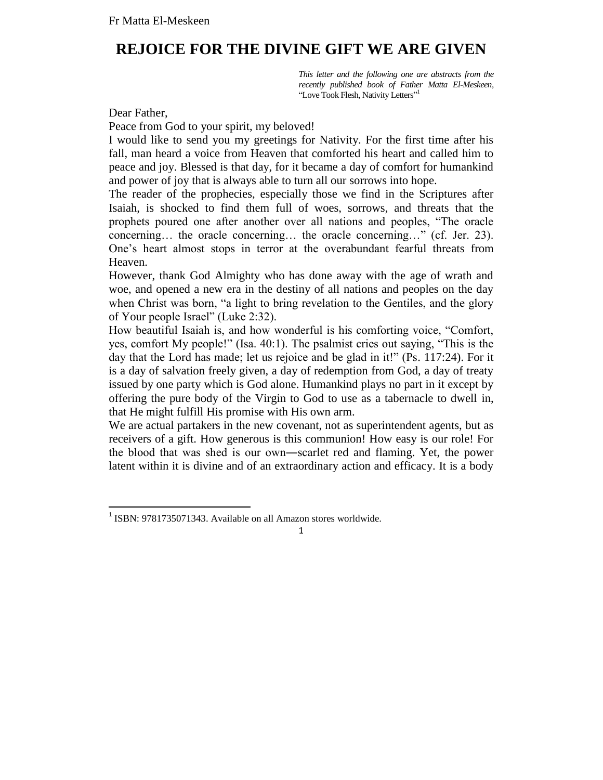## **REJOICE FOR THE DIVINE GIFT WE ARE GIVEN**

*This letter and the following one are abstracts from the recently published book of Father Matta El-Meskeen,*  "Love Took Flesh, Nativity Letters"<sup>1</sup>

Dear Father,

Peace from God to your spirit, my beloved!

I would like to send you my greetings for Nativity. For the first time after his fall, man heard a voice from Heaven that comforted his heart and called him to peace and joy. Blessed is that day, for it became a day of comfort for humankind and power of joy that is always able to turn all our sorrows into hope.

The reader of the prophecies, especially those we find in the Scriptures after Isaiah, is shocked to find them full of woes, sorrows, and threats that the prophets poured one after another over all nations and peoples, "The oracle concerning… the oracle concerning… the oracle concerning…" (cf. Jer. 23). One's heart almost stops in terror at the overabundant fearful threats from Heaven.

However, thank God Almighty who has done away with the age of wrath and woe, and opened a new era in the destiny of all nations and peoples on the day when Christ was born, "a light to bring revelation to the Gentiles, and the glory of Your people Israel" (Luke 2:32).

How beautiful Isaiah is, and how wonderful is his comforting voice, "Comfort, yes, comfort My people!" (Isa. 40:1). The psalmist cries out saying, "This is the day that the Lord has made; let us rejoice and be glad in it!" (Ps. 117:24). For it is a day of salvation freely given, a day of redemption from God, a day of treaty issued by one party which is God alone. Humankind plays no part in it except by offering the pure body of the Virgin to God to use as a tabernacle to dwell in, that He might fulfill His promise with His own arm.

We are actual partakers in the new covenant, not as superintendent agents, but as receivers of a gift. How generous is this communion! How easy is our role! For the blood that was shed is our own―scarlet red and flaming. Yet, the power latent within it is divine and of an extraordinary action and efficacy. It is a body

 1 ISBN: 9781735071343. Available on all Amazon stores worldwide.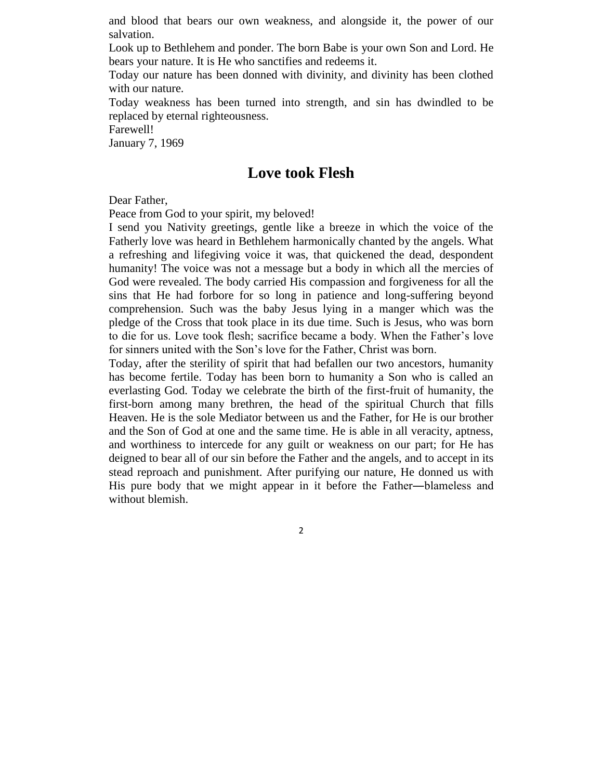and blood that bears our own weakness, and alongside it, the power of our salvation.

Look up to Bethlehem and ponder. The born Babe is your own Son and Lord. He bears your nature. It is He who sanctifies and redeems it.

Today our nature has been donned with divinity, and divinity has been clothed with our nature.

Today weakness has been turned into strength, and sin has dwindled to be replaced by eternal righteousness.

Farewell!

January 7, 1969

## **Love took Flesh**

Dear Father,

Peace from God to your spirit, my beloved!

I send you Nativity greetings, gentle like a breeze in which the voice of the Fatherly love was heard in Bethlehem harmonically chanted by the angels. What a refreshing and lifegiving voice it was, that quickened the dead, despondent humanity! The voice was not a message but a body in which all the mercies of God were revealed. The body carried His compassion and forgiveness for all the sins that He had forbore for so long in patience and long-suffering beyond comprehension. Such was the baby Jesus lying in a manger which was the pledge of the Cross that took place in its due time. Such is Jesus, who was born to die for us. Love took flesh; sacrifice became a body. When the Father's love for sinners united with the Son's love for the Father, Christ was born.

Today, after the sterility of spirit that had befallen our two ancestors, humanity has become fertile. Today has been born to humanity a Son who is called an everlasting God. Today we celebrate the birth of the first-fruit of humanity, the first-born among many brethren, the head of the spiritual Church that fills Heaven. He is the sole Mediator between us and the Father, for He is our brother and the Son of God at one and the same time. He is able in all veracity, aptness, and worthiness to intercede for any guilt or weakness on our part; for He has deigned to bear all of our sin before the Father and the angels, and to accept in its stead reproach and punishment. After purifying our nature, He donned us with His pure body that we might appear in it before the Father―blameless and without blemish.